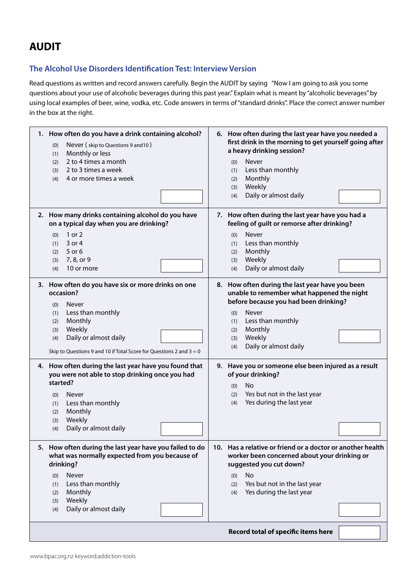## **AUDIT**

### **The Alcohol Use Disorders Identification Test: Interview Version**

Read questions as written and record answers carefully. Begin the AUDIT by saying "Now I am going to ask you some questions about your use of alcoholic beverages during this past year." Explain what is meant by "alcoholic beverages" by using local examples of beer, wine, vodka, etc. Code answers in terms of "standard drinks". Place the correct answer number in the box at the right.

| 1. How often do you have a drink containing alcohol?<br>Never (skip to Questions 9 and 10)<br>(0)<br>Monthly or less<br>(1)<br>2 to 4 times a month<br>(2)<br>2 to 3 times a week<br>(3)<br>4 or more times a week<br>(4)                               | 6. How often during the last year have you needed a<br>first drink in the morning to get yourself going after<br>a heavy drinking session?<br>Never<br>(0)<br>Less than monthly<br>(1)<br>Monthly<br>(2)<br>Weekly<br>(3)<br>Daily or almost daily<br>(4) |
|---------------------------------------------------------------------------------------------------------------------------------------------------------------------------------------------------------------------------------------------------------|-----------------------------------------------------------------------------------------------------------------------------------------------------------------------------------------------------------------------------------------------------------|
| 2. How many drinks containing alcohol do you have<br>on a typical day when you are drinking?<br>1 or 2<br>(0)<br>3 or 4<br>(1)<br>5 or 6<br>(2)<br>7, 8, or 9<br>(3)<br>10 or more<br>(4)                                                               | 7. How often during the last year have you had a<br>feeling of guilt or remorse after drinking?<br>Never<br>(0)<br>Less than monthly<br>(1)<br>Monthly<br>(2)<br>Weekly<br>(3)<br>Daily or almost daily<br>(4)                                            |
| 3. How often do you have six or more drinks on one<br>occasion?<br>Never<br>(0)<br>Less than monthly<br>(1)<br>Monthly<br>(2)<br>Weekly<br>(3)<br>Daily or almost daily<br>(4)<br>Skip to Questions 9 and 10 if Total Score for Questions 2 and $3 = 0$ | 8. How often during the last year have you been<br>unable to remember what happened the night<br>before because you had been drinking?<br>Never<br>(0)<br>Less than monthly<br>(1)<br>Monthly<br>(2)<br>Weekly<br>(3)<br>Daily or almost daily<br>(4)     |
| 4. How often during the last year have you found that<br>you were not able to stop drinking once you had<br>started?<br>Never<br>(0)<br>Less than monthly<br>(1)<br>Monthly<br>(2)<br>Weekly<br>(3)<br>Daily or almost daily<br>(4)                     | 9. Have you or someone else been injured as a result<br>of your drinking?<br><b>No</b><br>(0)<br>Yes but not in the last year<br>(2)<br>Yes during the last year<br>(4)                                                                                   |
| 5. How often during the last year have you failed to do<br>what was normally expected from you because of<br>drinking?<br>Never<br>(0)<br>Less than monthly<br>(1)<br>Monthly<br>(2)<br>Weekly<br>(3)<br>Daily or almost daily<br>(4)                   | 10. Has a relative or friend or a doctor or another health<br>worker been concerned about your drinking or<br>suggested you cut down?<br><b>No</b><br>(0)<br>Yes but not in the last year<br>(2)<br>Yes during the last year<br>(4)                       |
|                                                                                                                                                                                                                                                         | Record total of specific items here                                                                                                                                                                                                                       |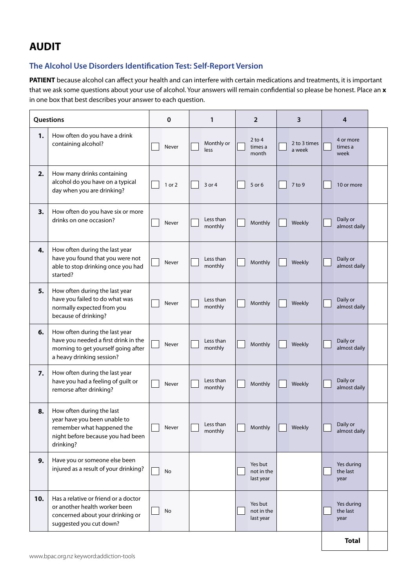# **AUDIT**

### **The Alcohol Use Disorders Identification Test: Self-Report Version**

**PATIENT** because alcohol can affect your health and can interfere with certain medications and treatments, it is important that we ask some questions about your use of alcohol. Your answers will remain confidential so please be honest. Place an **x** in one box that best describes your answer to each question.

| Questions |                                                                                                                                            | 0 |        | 1 |                      | 2 |                                    | 3 |                        | 4 |                                |  |
|-----------|--------------------------------------------------------------------------------------------------------------------------------------------|---|--------|---|----------------------|---|------------------------------------|---|------------------------|---|--------------------------------|--|
| 1.        | How often do you have a drink<br>containing alcohol?                                                                                       |   | Never  |   | Monthly or<br>less   |   | $2$ to 4<br>times a<br>month       |   | 2 to 3 times<br>a week |   | 4 or more<br>times a<br>week   |  |
| 2.        | How many drinks containing<br>alcohol do you have on a typical<br>day when you are drinking?                                               |   | 1 or 2 |   | 3 or 4               |   | 5 or 6                             |   | 7 to 9                 |   | 10 or more                     |  |
| 3.        | How often do you have six or more<br>drinks on one occasion?                                                                               |   | Never  |   | Less than<br>monthly |   | Monthly                            |   | Weekly                 |   | Daily or<br>almost daily       |  |
| 4.        | How often during the last year<br>have you found that you were not<br>able to stop drinking once you had<br>started?                       |   | Never  |   | Less than<br>monthly |   | Monthly                            |   | Weekly                 |   | Daily or<br>almost daily       |  |
| 5.        | How often during the last year<br>have you failed to do what was<br>normally expected from you<br>because of drinking?                     |   | Never  |   | Less than<br>monthly |   | Monthly                            |   | Weekly                 |   | Daily or<br>almost daily       |  |
| 6.        | How often during the last year<br>have you needed a first drink in the<br>morning to get yourself going after<br>a heavy drinking session? |   | Never  |   | Less than<br>monthly |   | Monthly                            |   | Weekly                 |   | Daily or<br>almost daily       |  |
| 7.        | How often during the last year<br>have you had a feeling of guilt or<br>remorse after drinking?                                            |   | Never  |   | Less than<br>monthly |   | Monthly                            |   | Weekly                 |   | Daily or<br>almost daily       |  |
| 8.        | How often during the last<br>year have you been unable to<br>remember what happened the<br>night before because you had been<br>drinking?  |   | Never  |   | Less than<br>monthly |   | Monthly                            |   | Weekly                 |   | Daily or<br>almost daily       |  |
| 9.        | Have you or someone else been<br>injured as a result of your drinking?                                                                     |   | No     |   |                      |   | Yes but<br>not in the<br>last year |   |                        |   | Yes during<br>the last<br>year |  |
| 10.       | Has a relative or friend or a doctor<br>or another health worker been<br>concerned about your drinking or<br>suggested you cut down?       |   | No     |   |                      |   | Yes but<br>not in the<br>last year |   |                        |   | Yes during<br>the last<br>year |  |
|           |                                                                                                                                            |   |        |   |                      |   |                                    |   |                        |   | <b>Total</b>                   |  |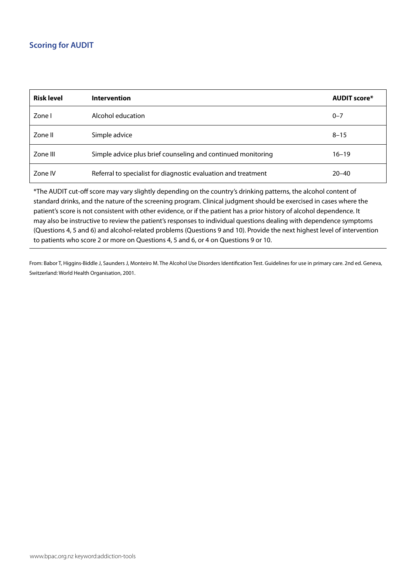### **Scoring for AUDIT**

| <b>Risk level</b> | <b>Intervention</b>                                            | <b>AUDIT score*</b> |
|-------------------|----------------------------------------------------------------|---------------------|
| Zone I            | Alcohol education                                              | $0 - 7$             |
| Zone II           | Simple advice                                                  | $8 - 15$            |
| Zone III          | Simple advice plus brief counseling and continued monitoring   | $16 - 19$           |
| Zone IV           | Referral to specialist for diagnostic evaluation and treatment | $20 - 40$           |

\*The AUDIT cut-off score may vary slightly depending on the country's drinking patterns, the alcohol content of standard drinks, and the nature of the screening program. Clinical judgment should be exercised in cases where the patient's score is not consistent with other evidence, or if the patient has a prior history of alcohol dependence. It may also be instructive to review the patient's responses to individual questions dealing with dependence symptoms (Questions 4, 5 and 6) and alcohol-related problems (Questions 9 and 10). Provide the next highest level of intervention to patients who score 2 or more on Questions 4, 5 and 6, or 4 on Questions 9 or 10.

From: Babor T, Higgins-Biddle J, Saunders J, Monteiro M. The Alcohol Use Disorders Identification Test. Guidelines for use in primary care. 2nd ed. Geneva, Switzerland: World Health Organisation, 2001.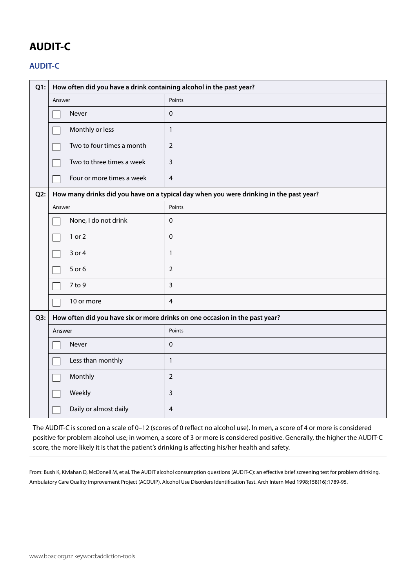# **AUDIT-C**

### **AUDIT-C**

| $Q1$ : | How often did you have a drink containing alcohol in the past year?                    |                |  |  |  |  |  |
|--------|----------------------------------------------------------------------------------------|----------------|--|--|--|--|--|
|        | Answer                                                                                 | Points         |  |  |  |  |  |
|        | Never                                                                                  | 0              |  |  |  |  |  |
|        | Monthly or less                                                                        | $\mathbf{1}$   |  |  |  |  |  |
|        | Two to four times a month                                                              | $\overline{2}$ |  |  |  |  |  |
|        | Two to three times a week                                                              | $\overline{3}$ |  |  |  |  |  |
|        | Four or more times a week                                                              | $\overline{4}$ |  |  |  |  |  |
| Q2:    | How many drinks did you have on a typical day when you were drinking in the past year? |                |  |  |  |  |  |
|        | Answer                                                                                 | Points         |  |  |  |  |  |
|        | None, I do not drink                                                                   | $\mathbf 0$    |  |  |  |  |  |
|        | 1 or 2                                                                                 | $\mathbf 0$    |  |  |  |  |  |
|        | 3 or 4                                                                                 | $\mathbf{1}$   |  |  |  |  |  |
|        | 5 or 6                                                                                 | $\overline{2}$ |  |  |  |  |  |
|        | 7 to 9                                                                                 | $\overline{3}$ |  |  |  |  |  |
|        | 10 or more                                                                             | $\overline{4}$ |  |  |  |  |  |
| Q3:    | How often did you have six or more drinks on one occasion in the past year?            |                |  |  |  |  |  |
|        | Answer                                                                                 | Points         |  |  |  |  |  |
|        | Never                                                                                  | $\mathbf 0$    |  |  |  |  |  |
|        | Less than monthly                                                                      | $\mathbf{1}$   |  |  |  |  |  |
|        | Monthly                                                                                | $\overline{2}$ |  |  |  |  |  |
|        | Weekly                                                                                 | $\overline{3}$ |  |  |  |  |  |
|        | Daily or almost daily                                                                  | $\overline{4}$ |  |  |  |  |  |

The AUDIT-C is scored on a scale of 0–12 (scores of 0 reflect no alcohol use). In men, a score of 4 or more is considered positive for problem alcohol use; in women, a score of 3 or more is considered positive. Generally, the higher the AUDIT-C score, the more likely it is that the patient's drinking is affecting his/her health and safety.

From: Bush K, Kivlahan D, McDonell M, et al. The AUDIT alcohol consumption questions (AUDIT-C): an effective brief screening test for problem drinking. Ambulatory Care Quality Improvement Project (ACQUIP). Alcohol Use Disorders Identification Test. Arch Intern Med 1998;158(16):1789-95.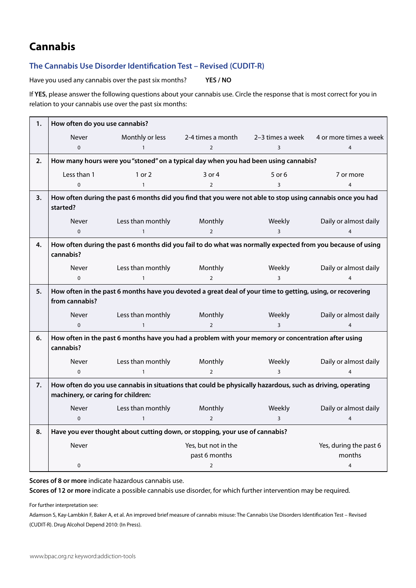# **Cannabis**

#### **The Cannabis Use Disorder Identification Test – Revised (CUDIT-R)**

Have you used any cannabis over the past six months? **YES / NO**

If **YES**, please answer the following questions about your cannabis use. Circle the response that is most correct for you in relation to your cannabis use over the past six months:

| 1. | How often do you use cannabis?                                                      |                                                                                                            |                                      |                         |                                  |  |  |
|----|-------------------------------------------------------------------------------------|------------------------------------------------------------------------------------------------------------|--------------------------------------|-------------------------|----------------------------------|--|--|
|    | Never                                                                               | Monthly or less                                                                                            | 2-4 times a month                    | 2-3 times a week        | 4 or more times a week           |  |  |
|    | $\mathbf 0$                                                                         | $\mathbf{1}$                                                                                               | $\overline{2}$                       | 3                       | $\overline{4}$                   |  |  |
| 2. | How many hours were you "stoned" on a typical day when you had been using cannabis? |                                                                                                            |                                      |                         |                                  |  |  |
|    | Less than 1                                                                         | 1 or 2                                                                                                     | 3 or 4                               | 5 or 6                  | 7 or more                        |  |  |
|    | $\mathbf 0$                                                                         | $\mathbf{1}$                                                                                               | $\overline{2}$                       | 3                       | 4                                |  |  |
| 3. | started?                                                                            | How often during the past 6 months did you find that you were not able to stop using cannabis once you had |                                      |                         |                                  |  |  |
|    | Never                                                                               | Less than monthly                                                                                          | Monthly                              | Weekly                  | Daily or almost daily            |  |  |
|    | $\mathbf 0$                                                                         | $\mathbf{1}$                                                                                               | $\overline{2}$                       | 3                       | 4                                |  |  |
| 4. | cannabis?                                                                           | How often during the past 6 months did you fail to do what was normally expected from you because of using |                                      |                         |                                  |  |  |
|    | Never                                                                               | Less than monthly                                                                                          | Monthly                              | Weekly                  | Daily or almost daily            |  |  |
|    | $\mathbf 0$                                                                         | $\mathbf{1}$                                                                                               | $\overline{2}$                       | 3                       | 4                                |  |  |
| 5. | from cannabis?                                                                      | How often in the past 6 months have you devoted a great deal of your time to getting, using, or recovering |                                      |                         |                                  |  |  |
|    | Never                                                                               | Less than monthly                                                                                          | Monthly                              | Weekly                  | Daily or almost daily            |  |  |
|    | $\mathbf 0$                                                                         | $\mathbf{1}$                                                                                               | $\mathcal{L}$                        | $\overline{\mathsf{B}}$ | 4                                |  |  |
| 6. | cannabis?                                                                           | How often in the past 6 months have you had a problem with your memory or concentration after using        |                                      |                         |                                  |  |  |
|    | Never                                                                               | Less than monthly                                                                                          | Monthly                              | Weekly                  | Daily or almost daily            |  |  |
|    | $\Omega$                                                                            | $\mathbf{1}$                                                                                               | $\mathcal{L}$                        | $\overline{3}$          |                                  |  |  |
| 7. | machinery, or caring for children:                                                  | How often do you use cannabis in situations that could be physically hazardous, such as driving, operating |                                      |                         |                                  |  |  |
|    | Never                                                                               | Less than monthly                                                                                          | Monthly                              | Weekly                  | Daily or almost daily            |  |  |
|    | $\Omega$                                                                            | $\mathbf{1}$                                                                                               | $\overline{2}$                       | $\overline{3}$          | 4                                |  |  |
| 8. |                                                                                     | Have you ever thought about cutting down, or stopping, your use of cannabis?                               |                                      |                         |                                  |  |  |
|    | Never                                                                               |                                                                                                            | Yes, but not in the<br>past 6 months |                         | Yes, during the past 6<br>months |  |  |
|    | 0                                                                                   |                                                                                                            | $\overline{2}$                       |                         | 4                                |  |  |

**Scores of 8 or more** indicate hazardous cannabis use.

**Scores of 12 or more** indicate a possible cannabis use disorder, for which further intervention may be required.

For further interpretation see:

Adamson S, Kay-Lambkin F, Baker A, et al. An improved brief measure of cannabis misuse: The Cannabis Use Disorders Identification Test – Revised (CUDIT-R). Drug Alcohol Depend 2010: (In Press).